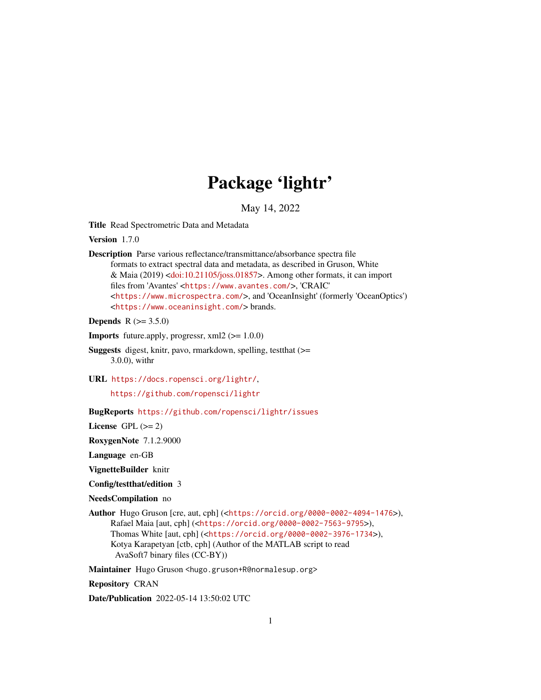## Package 'lightr'

May 14, 2022

<span id="page-0-0"></span>Title Read Spectrometric Data and Metadata

Version 1.7.0

Description Parse various reflectance/transmittance/absorbance spectra file formats to extract spectral data and metadata, as described in Gruson, White & Maia (2019) [<doi:10.21105/joss.01857>](https://doi.org/10.21105/joss.01857). Among other formats, it can import files from 'Avantes' <<https://www.avantes.com/>>, 'CRAIC' <<https://www.microspectra.com/>>, and 'OceanInsight' (formerly 'OceanOptics') <<https://www.oceaninsight.com/>> brands.

**Depends** R  $(>= 3.5.0)$ 

**Imports** future.apply, progressr,  $xml2$  ( $>= 1.0.0$ )

- Suggests digest, knitr, pavo, rmarkdown, spelling, testthat (>= 3.0.0), withr
- URL <https://docs.ropensci.org/lightr/>,

<https://github.com/ropensci/lightr>

BugReports <https://github.com/ropensci/lightr/issues>

License GPL  $(>= 2)$ 

RoxygenNote 7.1.2.9000

Language en-GB

VignetteBuilder knitr

Config/testthat/edition 3

NeedsCompilation no

Author Hugo Gruson [cre, aut, cph] (<<https://orcid.org/0000-0002-4094-1476>>), Rafael Maia [aut, cph] (<<https://orcid.org/0000-0002-7563-9795>>), Thomas White [aut, cph] (<<https://orcid.org/0000-0002-3976-1734>>), Kotya Karapetyan [ctb, cph] (Author of the MATLAB script to read AvaSoft7 binary files (CC-BY))

Maintainer Hugo Gruson <hugo.gruson+R@normalesup.org>

Repository CRAN

Date/Publication 2022-05-14 13:50:02 UTC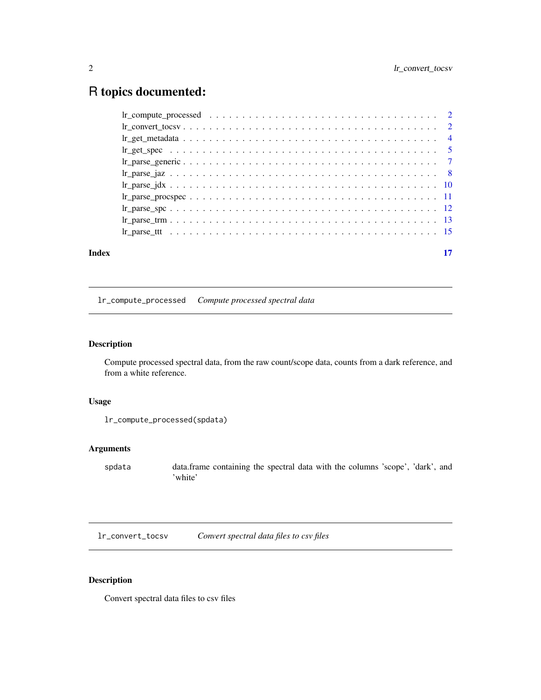## <span id="page-1-0"></span>R topics documented:

| Index | 17 |
|-------|----|
|       |    |
|       |    |
|       |    |
|       |    |
|       |    |
|       |    |
|       |    |
|       |    |
|       |    |
|       |    |
|       |    |

## <span id="page-1-1"></span>lr\_compute\_processed *Compute processed spectral data*

## Description

Compute processed spectral data, from the raw count/scope data, counts from a dark reference, and from a white reference.

## Usage

```
lr_compute_processed(spdata)
```
## Arguments

spdata data.frame containing the spectral data with the columns 'scope', 'dark', and 'white'

lr\_convert\_tocsv *Convert spectral data files to csv files*

## Description

Convert spectral data files to csv files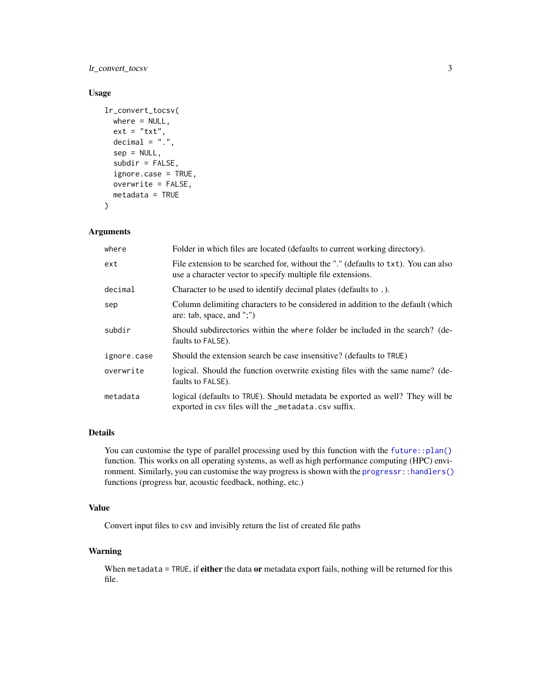## <span id="page-2-0"></span>lr\_convert\_tocsv 3

## Usage

```
lr_convert_tocsv(
 where = NULL,
  ext = "txt",decimal = ".".sep = NULL,subdir = FALSE,ignore.case = TRUE,
  overwrite = FALSE,
 metadata = TRUE
\lambda
```
#### Arguments

| where       | Folder in which files are located (defaults to current working directory).                                                                        |
|-------------|---------------------------------------------------------------------------------------------------------------------------------------------------|
| ext         | File extension to be searched for, without the "." (defaults to txt). You can also<br>use a character vector to specify multiple file extensions. |
| decimal     | Character to be used to identify decimal plates (defaults to .).                                                                                  |
| sep         | Column delimiting characters to be considered in addition to the default (which<br>are: tab, space, and ";")                                      |
| subdir      | Should subdirectories within the where folder be included in the search? (de-<br>faults to FALSE).                                                |
| ignore.case | Should the extension search be case insensitive? (defaults to TRUE)                                                                               |
| overwrite   | logical. Should the function overwrite existing files with the same name? (de-<br>faults to FALSE).                                               |
| metadata    | logical (defaults to TRUE). Should metadata be exported as well? They will be<br>exported in csv files will the _metadata.csv suffix.             |

## Details

You can customise the type of parallel processing used by this function with the [future::plan\(\)](#page-0-0) function. This works on all operating systems, as well as high performance computing (HPC) environment. Similarly, you can customise the way progress is shown with the [progressr::handlers\(\)](#page-0-0) functions (progress bar, acoustic feedback, nothing, etc.)

#### Value

Convert input files to csv and invisibly return the list of created file paths

#### Warning

When metadata = TRUE, if either the data or metadata export fails, nothing will be returned for this file.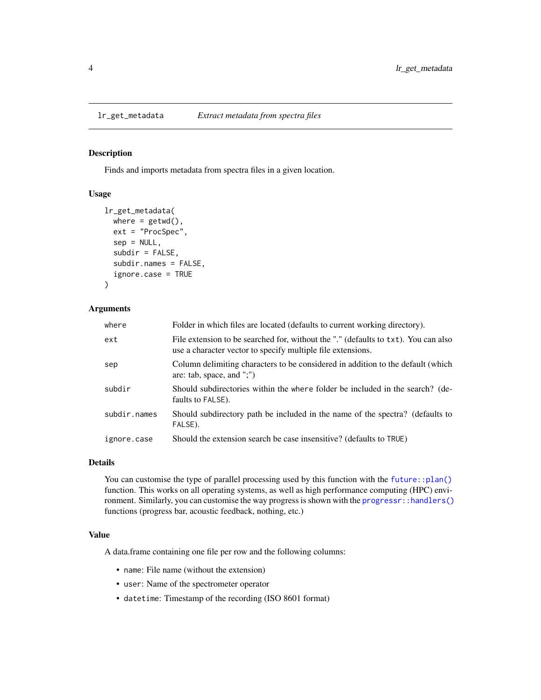#### <span id="page-3-0"></span>Description

Finds and imports metadata from spectra files in a given location.

## Usage

```
lr_get_metadata(
  where = getwd(),
  ext = "ProcSpec",
  sep = NULL,subdir = FALSE,subdir.names = FALSE,
  ignore.case = TRUE
)
```
## Arguments

| where        | Folder in which files are located (defaults to current working directory).                                                                        |
|--------------|---------------------------------------------------------------------------------------------------------------------------------------------------|
| ext          | File extension to be searched for, without the "." (defaults to txt). You can also<br>use a character vector to specify multiple file extensions. |
| sep          | Column delimiting characters to be considered in addition to the default (which<br>are: tab, space, and ";")                                      |
| subdir       | Should subdirectories within the where folder be included in the search? (de-<br>faults to FALSE).                                                |
| subdir.names | Should subdirectory path be included in the name of the spectra? (defaults to<br>FALSE).                                                          |
| ignore.case  | Should the extension search be case insensitive? (defaults to TRUE)                                                                               |

#### Details

You can customise the type of parallel processing used by this function with the [future::plan\(\)](#page-0-0) function. This works on all operating systems, as well as high performance computing (HPC) environment. Similarly, you can customise the way progress is shown with the [progressr::handlers\(\)](#page-0-0) functions (progress bar, acoustic feedback, nothing, etc.)

#### Value

A data.frame containing one file per row and the following columns:

- name: File name (without the extension)
- user: Name of the spectrometer operator
- datetime: Timestamp of the recording (ISO 8601 format)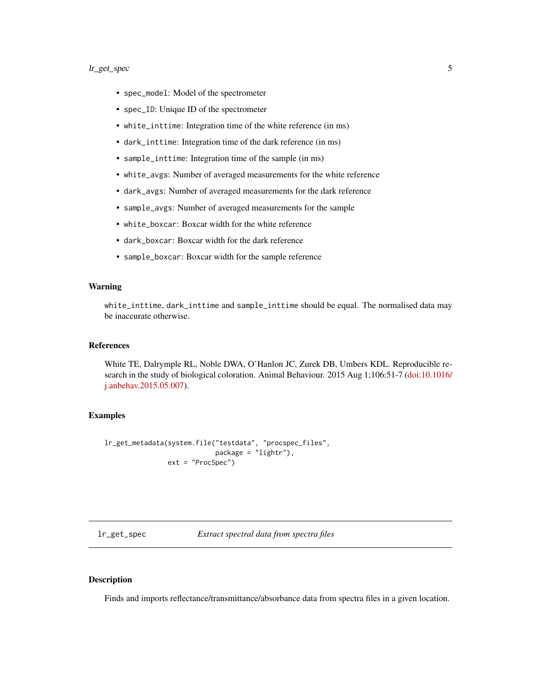- <span id="page-4-0"></span>• spec\_model: Model of the spectrometer
- spec\_ID: Unique ID of the spectrometer
- white\_inttime: Integration time of the white reference (in ms)
- dark\_inttime: Integration time of the dark reference (in ms)
- sample\_inttime: Integration time of the sample (in ms)
- white\_avgs: Number of averaged measurements for the white reference
- dark\_avgs: Number of averaged measurements for the dark reference
- sample\_avgs: Number of averaged measurements for the sample
- white\_boxcar: Boxcar width for the white reference
- dark boxcar: Boxcar width for the dark reference
- sample\_boxcar: Boxcar width for the sample reference

#### Warning

white\_inttime, dark\_inttime and sample\_inttime should be equal. The normalised data may be inaccurate otherwise.

#### References

White TE, Dalrymple RL, Noble DWA, O'Hanlon JC, Zurek DB, Umbers KDL. Reproducible research in the study of biological coloration. Animal Behaviour. 2015 Aug 1;106:51-7 [\(doi:10.1016/](https://doi.org/10.1016/j.anbehav.2015.05.007) [j.anbehav.2015.05.007\)](https://doi.org/10.1016/j.anbehav.2015.05.007).

#### Examples

```
lr_get_metadata(system.file("testdata", "procspec_files",
                            package = "lightr"),
                ext = "ProcSpec")
```
lr\_get\_spec *Extract spectral data from spectra files*

#### Description

Finds and imports reflectance/transmittance/absorbance data from spectra files in a given location.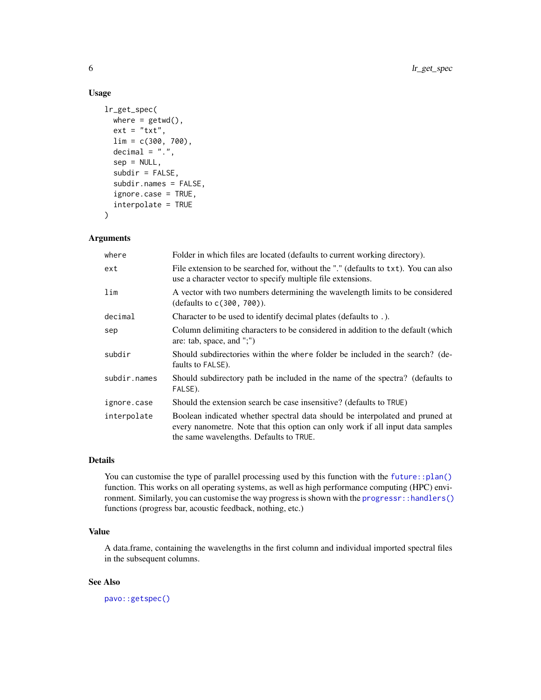## Usage

```
lr_get_spec(
 where = getwd(),
  ext = "txt",lim = c(300, 700),
  decimal = "."sep = NULL,
  subdir = FALSE,subdir.names = FALSE,
  ignore.case = TRUE,
  interpolate = TRUE
)
```
## Arguments

| where        | Folder in which files are located (defaults to current working directory).                                                                                                                                |
|--------------|-----------------------------------------------------------------------------------------------------------------------------------------------------------------------------------------------------------|
| ext          | File extension to be searched for, without the "." (defaults to txt). You can also<br>use a character vector to specify multiple file extensions.                                                         |
| lim          | A vector with two numbers determining the wavelength limits to be considered<br>(defaults to c(300, 700)).                                                                                                |
| decimal      | Character to be used to identify decimal plates (defaults to .).                                                                                                                                          |
| sep          | Column delimiting characters to be considered in addition to the default (which<br>are: tab, space, and ";")                                                                                              |
| subdir       | Should subdirectories within the where folder be included in the search? (de-<br>faults to FALSE).                                                                                                        |
| subdir.names | Should subdirectory path be included in the name of the spectra? (defaults to<br>FALSE).                                                                                                                  |
| ignore.case  | Should the extension search be case insensitive? (defaults to TRUE)                                                                                                                                       |
| interpolate  | Boolean indicated whether spectral data should be interpolated and pruned at<br>every nanometre. Note that this option can only work if all input data samples<br>the same wavelengths. Defaults to TRUE. |

#### Details

You can customise the type of parallel processing used by this function with the [future::plan\(\)](#page-0-0) function. This works on all operating systems, as well as high performance computing (HPC) environment. Similarly, you can customise the way progress is shown with the [progressr::handlers\(\)](#page-0-0) functions (progress bar, acoustic feedback, nothing, etc.)

## Value

A data.frame, containing the wavelengths in the first column and individual imported spectral files in the subsequent columns.

## See Also

[pavo::getspec\(\)](#page-0-0)

<span id="page-5-0"></span>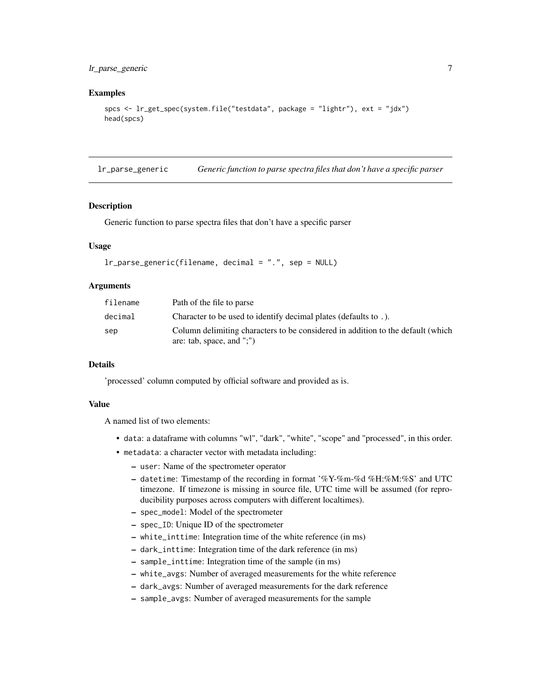## <span id="page-6-0"></span>lr\_parse\_generic 7

#### Examples

```
spcs <- lr_get_spec(system.file("testdata", package = "lightr"), ext = "jdx")
head(spcs)
```
lr\_parse\_generic *Generic function to parse spectra files that don't have a specific parser*

#### **Description**

Generic function to parse spectra files that don't have a specific parser

#### Usage

```
lr_parse_generic(filename, decimal = ".", sep = NULL)
```
#### Arguments

| filename | Path of the file to parse                                                                                    |
|----------|--------------------------------------------------------------------------------------------------------------|
| decimal  | Character to be used to identify decimal plates (defaults to.).                                              |
| sep      | Column delimiting characters to be considered in addition to the default (which<br>are: tab, space, and ";") |

#### Details

'processed' column computed by official software and provided as is.

#### Value

- data: a dataframe with columns "wl", "dark", "white", "scope" and "processed", in this order.
- metadata: a character vector with metadata including:
	- user: Name of the spectrometer operator
	- datetime: Timestamp of the recording in format '%Y-%m-%d %H:%M:%S' and UTC timezone. If timezone is missing in source file, UTC time will be assumed (for reproducibility purposes across computers with different localtimes).
	- spec\_model: Model of the spectrometer
	- spec\_ID: Unique ID of the spectrometer
	- white\_inttime: Integration time of the white reference (in ms)
	- dark\_inttime: Integration time of the dark reference (in ms)
	- sample\_inttime: Integration time of the sample (in ms)
	- white\_avgs: Number of averaged measurements for the white reference
	- dark\_avgs: Number of averaged measurements for the dark reference
	- sample\_avgs: Number of averaged measurements for the sample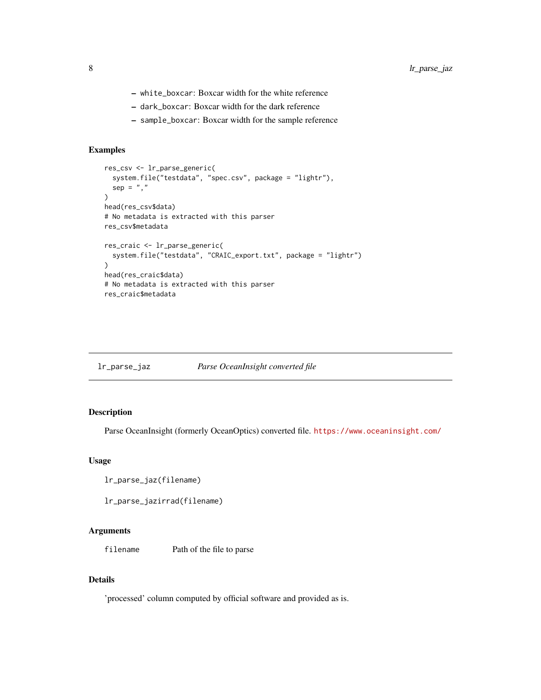- <span id="page-7-0"></span>– white\_boxcar: Boxcar width for the white reference
- dark\_boxcar: Boxcar width for the dark reference
- sample\_boxcar: Boxcar width for the sample reference

#### Examples

```
res_csv <- lr_parse_generic(
  system.file("testdata", "spec.csv", package = "lightr"),
  sep = ","\lambdahead(res_csv$data)
# No metadata is extracted with this parser
res_csv$metadata
res_craic <- lr_parse_generic(
  system.file("testdata", "CRAIC_export.txt", package = "lightr")
)
head(res_craic$data)
# No metadata is extracted with this parser
res_craic$metadata
```

| lr_parse_jaz | Parse OceanInsight converted file |  |
|--------------|-----------------------------------|--|
|              |                                   |  |

#### Description

Parse OceanInsight (formerly OceanOptics) converted file. <https://www.oceaninsight.com/>

## Usage

```
lr_parse_jaz(filename)
```
lr\_parse\_jazirrad(filename)

#### Arguments

filename Path of the file to parse

## Details

'processed' column computed by official software and provided as is.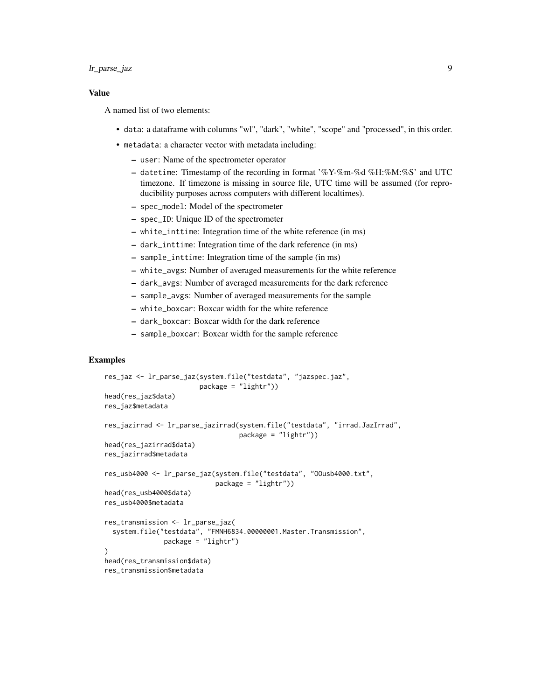#### Value

A named list of two elements:

- data: a dataframe with columns "wl", "dark", "white", "scope" and "processed", in this order.
- metadata: a character vector with metadata including:
	- user: Name of the spectrometer operator
	- datetime: Timestamp of the recording in format  $\%$ Y-%m-%d %H:%M:%S' and UTC timezone. If timezone is missing in source file, UTC time will be assumed (for reproducibility purposes across computers with different localtimes).
	- spec\_model: Model of the spectrometer
	- spec\_ID: Unique ID of the spectrometer
	- white\_inttime: Integration time of the white reference (in ms)
	- dark\_inttime: Integration time of the dark reference (in ms)
	- sample\_inttime: Integration time of the sample (in ms)
	- white\_avgs: Number of averaged measurements for the white reference
	- dark\_avgs: Number of averaged measurements for the dark reference
	- sample\_avgs: Number of averaged measurements for the sample
	- white\_boxcar: Boxcar width for the white reference
	- dark\_boxcar: Boxcar width for the dark reference
	- sample\_boxcar: Boxcar width for the sample reference

### Examples

```
res_jaz <- lr_parse_jaz(system.file("testdata", "jazspec.jaz",
                        package = "lightr"))
head(res_jaz$data)
res_jaz$metadata
res_jazirrad <- lr_parse_jazirrad(system.file("testdata", "irrad.JazIrrad",
                                  package = "lightr"))
head(res_jazirrad$data)
res_jazirrad$metadata
res_usb4000 <- lr_parse_jaz(system.file("testdata", "OOusb4000.txt",
                            package = "lightr"))
head(res_usb4000$data)
res_usb4000$metadata
res_transmission <- lr_parse_jaz(
 system.file("testdata", "FMNH6834.00000001.Master.Transmission",
              package = "lightr")
)
head(res_transmission$data)
res_transmission$metadata
```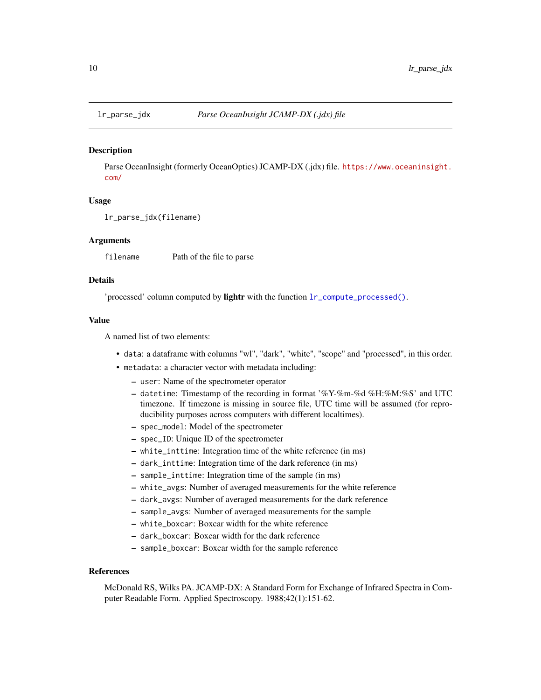<span id="page-9-0"></span>

#### Description

Parse OceanInsight (formerly OceanOptics) JCAMP-DX (.jdx) file. [https://www.oceaninsight.](https://www.oceaninsight.com/) [com/](https://www.oceaninsight.com/)

#### Usage

lr\_parse\_jdx(filename)

#### Arguments

filename Path of the file to parse

#### Details

'processed' column computed by lightr with the function [lr\\_compute\\_processed\(\)](#page-1-1).

#### Value

A named list of two elements:

- data: a dataframe with columns "wl", "dark", "white", "scope" and "processed", in this order.
- metadata: a character vector with metadata including:
	- user: Name of the spectrometer operator
	- datetime: Timestamp of the recording in format '%Y-%m-%d %H:%M:%S' and UTC timezone. If timezone is missing in source file, UTC time will be assumed (for reproducibility purposes across computers with different localtimes).
	- spec\_model: Model of the spectrometer
	- spec\_ID: Unique ID of the spectrometer
	- white\_inttime: Integration time of the white reference (in ms)
	- dark\_inttime: Integration time of the dark reference (in ms)
	- sample\_inttime: Integration time of the sample (in ms)
	- white\_avgs: Number of averaged measurements for the white reference
	- dark\_avgs: Number of averaged measurements for the dark reference
	- sample\_avgs: Number of averaged measurements for the sample
	- white\_boxcar: Boxcar width for the white reference
	- dark\_boxcar: Boxcar width for the dark reference
	- sample\_boxcar: Boxcar width for the sample reference

#### References

McDonald RS, Wilks PA. JCAMP-DX: A Standard Form for Exchange of Infrared Spectra in Computer Readable Form. Applied Spectroscopy. 1988;42(1):151-62.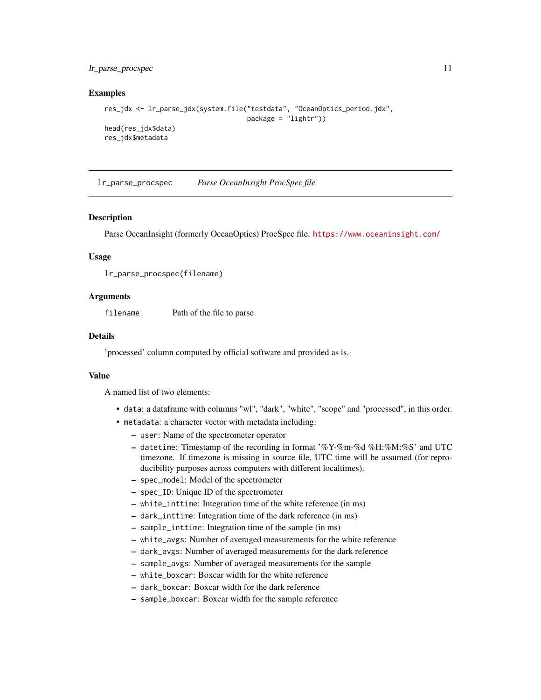#### <span id="page-10-0"></span>lr\_parse\_procspec 11

#### Examples

```
res_jdx <- lr_parse_jdx(system.file("testdata", "OceanOptics_period.jdx",
                                    package = "lightr"))
head(res_jdx$data)
res_jdx$metadata
```
lr\_parse\_procspec *Parse OceanInsight ProcSpec file*

#### **Description**

Parse OceanInsight (formerly OceanOptics) ProcSpec file. <https://www.oceaninsight.com/>

#### Usage

```
lr_parse_procspec(filename)
```
#### Arguments

filename Path of the file to parse

#### Details

'processed' column computed by official software and provided as is.

#### Value

- data: a dataframe with columns "wl", "dark", "white", "scope" and "processed", in this order.
- metadata: a character vector with metadata including:
	- user: Name of the spectrometer operator
	- datetime: Timestamp of the recording in format '%Y-%m-%d %H:%M:%S' and UTC timezone. If timezone is missing in source file, UTC time will be assumed (for reproducibility purposes across computers with different localtimes).
	- spec\_model: Model of the spectrometer
	- spec\_ID: Unique ID of the spectrometer
	- white\_inttime: Integration time of the white reference (in ms)
	- dark\_inttime: Integration time of the dark reference (in ms)
	- sample\_inttime: Integration time of the sample (in ms)
	- white\_avgs: Number of averaged measurements for the white reference
	- dark\_avgs: Number of averaged measurements for the dark reference
	- sample\_avgs: Number of averaged measurements for the sample
	- white\_boxcar: Boxcar width for the white reference
	- dark\_boxcar: Boxcar width for the dark reference
	- sample\_boxcar: Boxcar width for the sample reference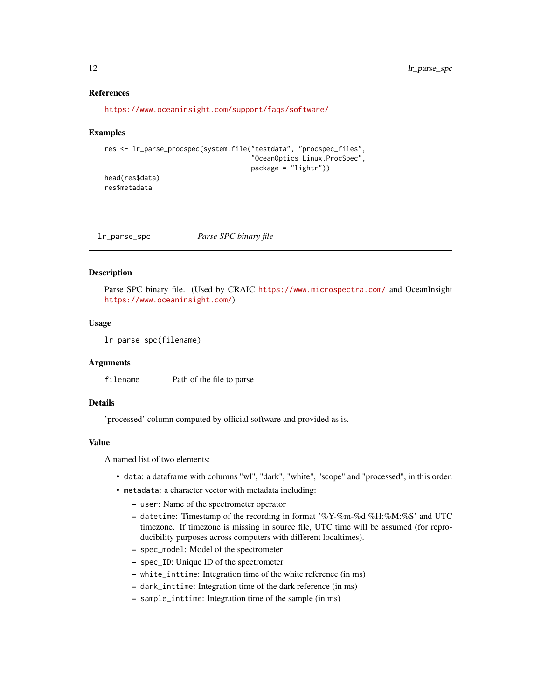#### <span id="page-11-0"></span>References

```
https://www.oceaninsight.com/support/faqs/software/
```
#### Examples

```
res <- lr_parse_procspec(system.file("testdata", "procspec_files",
                                     "OceanOptics_Linux.ProcSpec",
                                     package = "lightr"))
head(res$data)
```
res\$metadata

#### Description

Parse SPC binary file. (Used by CRAIC <https://www.microspectra.com/> and OceanInsight <https://www.oceaninsight.com/>)

#### Usage

```
lr_parse_spc(filename)
```
#### **Arguments**

filename Path of the file to parse

## Details

'processed' column computed by official software and provided as is.

#### Value

- data: a dataframe with columns "wl", "dark", "white", "scope" and "processed", in this order.
- metadata: a character vector with metadata including:
	- user: Name of the spectrometer operator
	- datetime: Timestamp of the recording in format '%Y-%m-%d %H:%M:%S' and UTC timezone. If timezone is missing in source file, UTC time will be assumed (for reproducibility purposes across computers with different localtimes).
	- spec\_model: Model of the spectrometer
	- spec\_ID: Unique ID of the spectrometer
	- white\_inttime: Integration time of the white reference (in ms)
	- dark\_inttime: Integration time of the dark reference (in ms)
	- sample\_inttime: Integration time of the sample (in ms)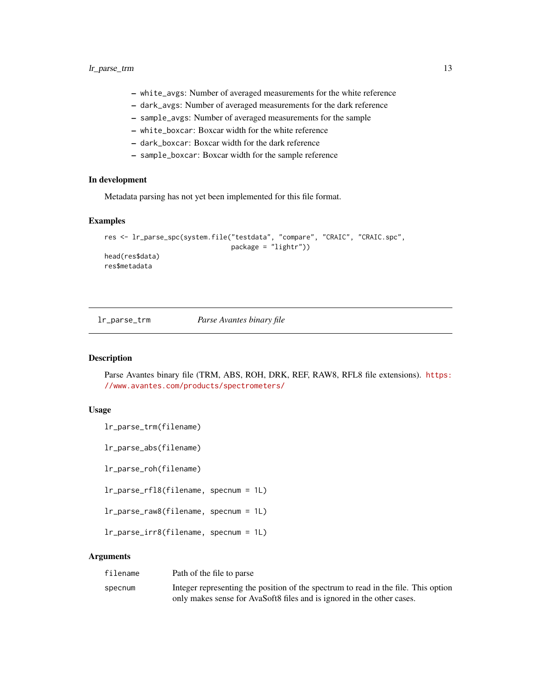- <span id="page-12-0"></span>– white\_avgs: Number of averaged measurements for the white reference
- dark\_avgs: Number of averaged measurements for the dark reference
- sample\_avgs: Number of averaged measurements for the sample
- white\_boxcar: Boxcar width for the white reference
- dark\_boxcar: Boxcar width for the dark reference
- sample\_boxcar: Boxcar width for the sample reference

## In development

Metadata parsing has not yet been implemented for this file format.

#### Examples

```
res <- lr_parse_spc(system.file("testdata", "compare", "CRAIC", "CRAIC.spc",
                                package = "lightr"))
head(res$data)
res$metadata
```
lr\_parse\_trm *Parse Avantes binary file*

#### Description

Parse Avantes binary file (TRM, ABS, ROH, DRK, REF, RAW8, RFL8 file extensions). [https:](https://www.avantes.com/products/spectrometers/) [//www.avantes.com/products/spectrometers/](https://www.avantes.com/products/spectrometers/)

#### Usage

lr\_parse\_trm(filename)

lr\_parse\_abs(filename)

lr\_parse\_roh(filename)

lr\_parse\_rfl8(filename, specnum = 1L)

lr\_parse\_raw8(filename, specnum = 1L)

lr\_parse\_irr8(filename, specnum = 1L)

#### Arguments

| filename | Path of the file to parse                                                          |
|----------|------------------------------------------------------------------------------------|
| specnum  | Integer representing the position of the spectrum to read in the file. This option |
|          | only makes sense for AvaSoft8 files and is ignored in the other cases.             |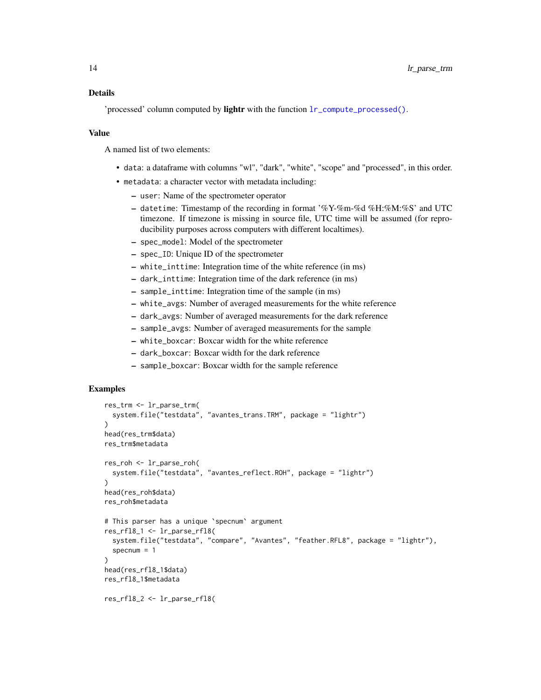<span id="page-13-0"></span>'processed' column computed by lightr with the function  $lr\_compute\_processed()$ .

#### Value

A named list of two elements:

- data: a dataframe with columns "wl", "dark", "white", "scope" and "processed", in this order.
- metadata: a character vector with metadata including:
	- user: Name of the spectrometer operator
	- datetime: Timestamp of the recording in format '%Y-%m-%d %H:%M:%S' and UTC timezone. If timezone is missing in source file, UTC time will be assumed (for reproducibility purposes across computers with different localtimes).
	- spec\_model: Model of the spectrometer
	- spec\_ID: Unique ID of the spectrometer
	- white\_inttime: Integration time of the white reference (in ms)
	- dark\_inttime: Integration time of the dark reference (in ms)
	- sample\_inttime: Integration time of the sample (in ms)
	- white\_avgs: Number of averaged measurements for the white reference
	- dark\_avgs: Number of averaged measurements for the dark reference
	- sample\_avgs: Number of averaged measurements for the sample
	- white\_boxcar: Boxcar width for the white reference
	- dark\_boxcar: Boxcar width for the dark reference
	- sample\_boxcar: Boxcar width for the sample reference

#### Examples

```
res_trm <- lr_parse_trm(
 system.file("testdata", "avantes_trans.TRM", package = "lightr")
)
head(res_trm$data)
res_trm$metadata
res_roh <- lr_parse_roh(
 system.file("testdata", "avantes_reflect.ROH", package = "lightr")
)
head(res_roh$data)
res_roh$metadata
# This parser has a unique `specnum` argument
res_rfl8_1 <- lr_parse_rfl8(
 system.file("testdata", "compare", "Avantes", "feather.RFL8", package = "lightr"),
 specnum = 1
)
head(res_rfl8_1$data)
res_rfl8_1$metadata
res_rfl8_2 <- lr_parse_rfl8(
```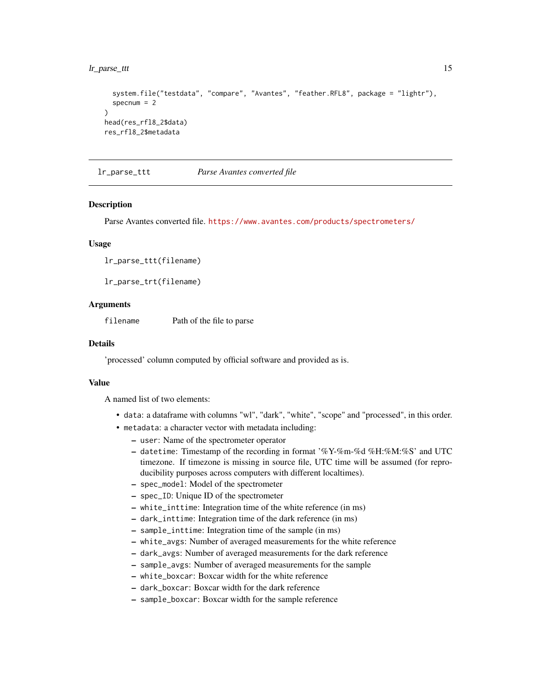#### <span id="page-14-0"></span>lr\_parse\_ttt 15

```
system.file("testdata", "compare", "Avantes", "feather.RFL8", package = "lightr"),
 specnum = 2)
head(res_rfl8_2$data)
res_rfl8_2$metadata
```
lr\_parse\_ttt *Parse Avantes converted file*

#### **Description**

Parse Avantes converted file. <https://www.avantes.com/products/spectrometers/>

#### Usage

lr\_parse\_ttt(filename)

lr\_parse\_trt(filename)

#### Arguments

filename Path of the file to parse

#### Details

'processed' column computed by official software and provided as is.

#### Value

- data: a dataframe with columns "wl", "dark", "white", "scope" and "processed", in this order.
- metadata: a character vector with metadata including:
	- user: Name of the spectrometer operator
	- datetime: Timestamp of the recording in format '%Y-%m-%d %H:%M:%S' and UTC timezone. If timezone is missing in source file, UTC time will be assumed (for reproducibility purposes across computers with different localtimes).
	- spec\_model: Model of the spectrometer
	- spec\_ID: Unique ID of the spectrometer
	- white\_inttime: Integration time of the white reference (in ms)
	- dark\_inttime: Integration time of the dark reference (in ms)
	- sample\_inttime: Integration time of the sample (in ms)
	- white\_avgs: Number of averaged measurements for the white reference
	- dark\_avgs: Number of averaged measurements for the dark reference
	- sample\_avgs: Number of averaged measurements for the sample
	- white\_boxcar: Boxcar width for the white reference
	- dark\_boxcar: Boxcar width for the dark reference
	- sample\_boxcar: Boxcar width for the sample reference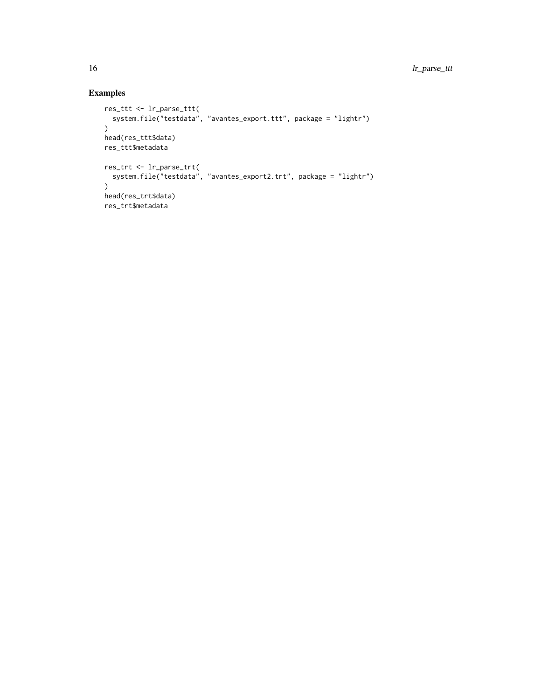## Examples

```
res_ttt <- lr_parse_ttt(
 system.file("testdata", "avantes_export.ttt", package = "lightr")
\lambdahead(res_ttt$data)
res_ttt$metadata
res_trt <- lr_parse_trt(
 system.file("testdata", "avantes_export2.trt", package = "lightr")
\lambdahead(res_trt$data)
res_trt$metadata
```